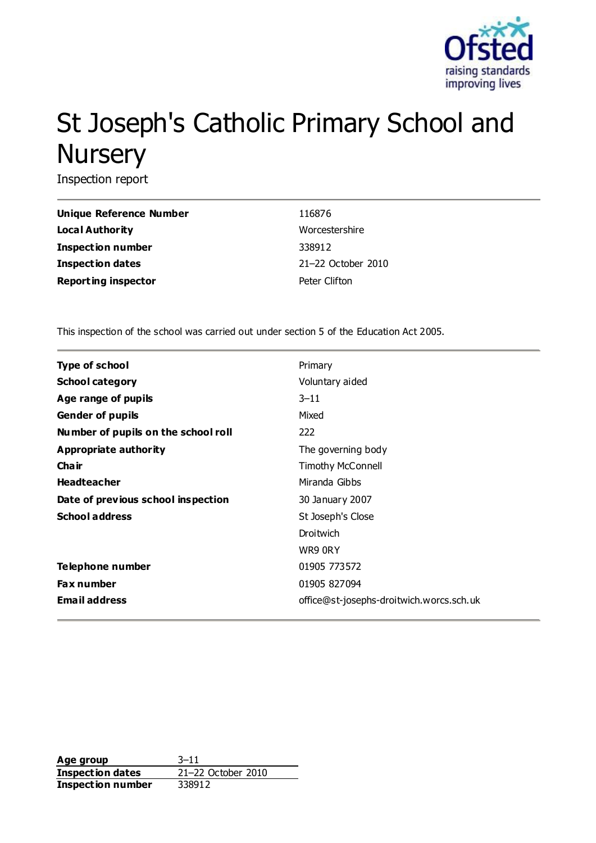

# St Joseph's Catholic Primary School and **Nursery**

Inspection report

| Unique Reference Number    | 116876             |
|----------------------------|--------------------|
| Local Authority            | Worcestershire     |
| <b>Inspection number</b>   | 338912             |
| <b>Inspection dates</b>    | 21-22 October 2010 |
| <b>Reporting inspector</b> | Peter Clifton      |

This inspection of the school was carried out under section 5 of the Education Act 2005.

| <b>Type of school</b>               | Primary                                  |
|-------------------------------------|------------------------------------------|
| <b>School category</b>              | Voluntary aided                          |
| Age range of pupils                 | $3 - 11$                                 |
| <b>Gender of pupils</b>             | Mixed                                    |
| Number of pupils on the school roll | 222                                      |
| Appropriate authority               | The governing body                       |
| Cha ir                              | <b>Timothy McConnell</b>                 |
| <b>Headteacher</b>                  | Miranda Gibbs                            |
| Date of previous school inspection  | 30 January 2007                          |
| <b>School address</b>               | St Joseph's Close                        |
|                                     | Droitwich                                |
|                                     | WR9 ORY                                  |
| Telephone number                    | 01905 773572                             |
| <b>Fax number</b>                   | 01905 827094                             |
| <b>Email address</b>                | office@st-josephs-droitwich.worcs.sch.uk |

**Age group** 3–11 **Inspection dates** 21–22 October 2010 **Inspection number** 338912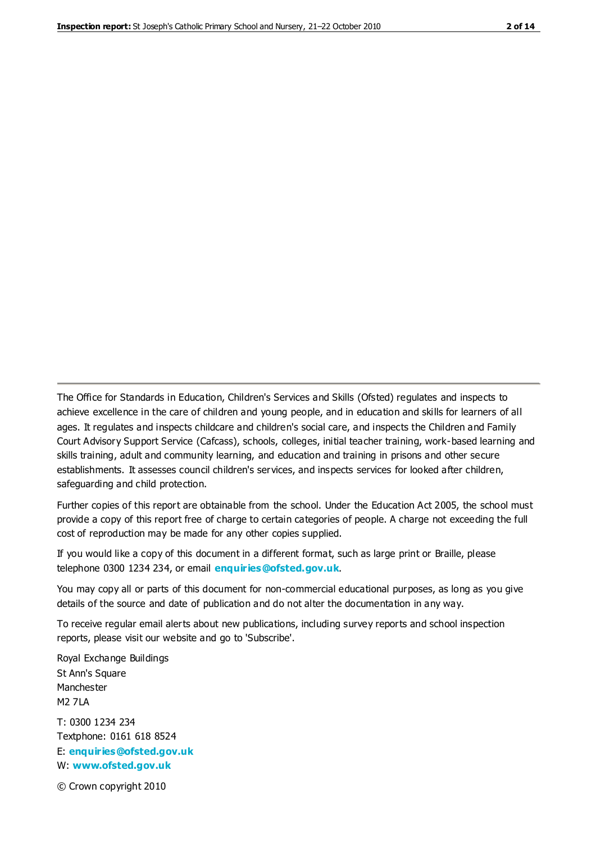The Office for Standards in Education, Children's Services and Skills (Ofsted) regulates and inspects to achieve excellence in the care of children and young people, and in education and skills for learners of all ages. It regulates and inspects childcare and children's social care, and inspects the Children and Family Court Advisory Support Service (Cafcass), schools, colleges, initial teacher training, work-based learning and skills training, adult and community learning, and education and training in prisons and other secure establishments. It assesses council children's services, and inspects services for looked after children, safeguarding and child protection.

Further copies of this report are obtainable from the school. Under the Education Act 2005, the school must provide a copy of this report free of charge to certain categories of people. A charge not exceeding the full cost of reproduction may be made for any other copies supplied.

If you would like a copy of this document in a different format, such as large print or Braille, please telephone 0300 1234 234, or email **[enquiries@ofsted.gov.uk](mailto:enquiries@ofsted.gov.uk)**.

You may copy all or parts of this document for non-commercial educational purposes, as long as you give details of the source and date of publication and do not alter the documentation in any way.

To receive regular email alerts about new publications, including survey reports and school inspection reports, please visit our website and go to 'Subscribe'.

Royal Exchange Buildings St Ann's Square Manchester M2 7LA T: 0300 1234 234 Textphone: 0161 618 8524 E: **[enquiries@ofsted.gov.uk](mailto:enquiries@ofsted.gov.uk)**

W: **[www.ofsted.gov.uk](http://www.ofsted.gov.uk/)**

© Crown copyright 2010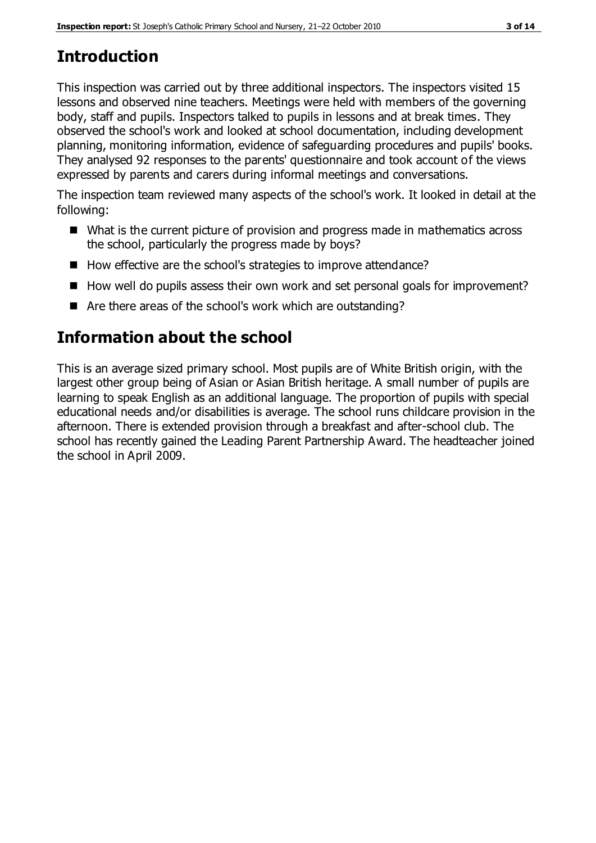# **Introduction**

This inspection was carried out by three additional inspectors. The inspectors visited 15 lessons and observed nine teachers. Meetings were held with members of the governing body, staff and pupils. Inspectors talked to pupils in lessons and at break times. They observed the school's work and looked at school documentation, including development planning, monitoring information, evidence of safeguarding procedures and pupils' books. They analysed 92 responses to the parents' questionnaire and took account of the views expressed by parents and carers during informal meetings and conversations.

The inspection team reviewed many aspects of the school's work. It looked in detail at the following:

- What is the current picture of provision and progress made in mathematics across the school, particularly the progress made by boys?
- How effective are the school's strategies to improve attendance?
- $\blacksquare$  How well do pupils assess their own work and set personal goals for improvement?
- Are there areas of the school's work which are outstanding?

# **Information about the school**

This is an average sized primary school. Most pupils are of White British origin, with the largest other group being of Asian or Asian British heritage. A small number of pupils are learning to speak English as an additional language. The proportion of pupils with special educational needs and/or disabilities is average. The school runs childcare provision in the afternoon. There is extended provision through a breakfast and after-school club. The school has recently gained the Leading Parent Partnership Award. The headteacher joined the school in April 2009.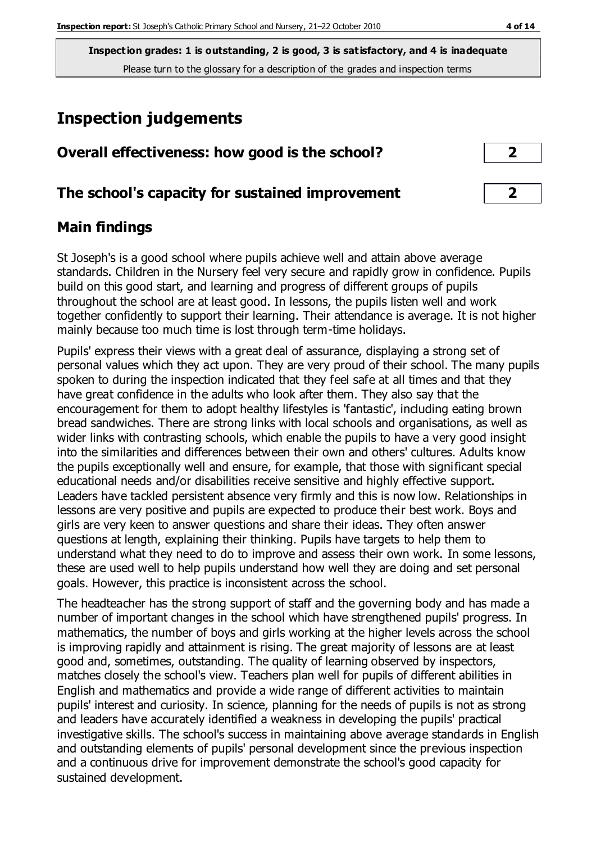**Inspection grades: 1 is outstanding, 2 is good, 3 is satisfactory, and 4 is inadequate** Please turn to the glossary for a description of the grades and inspection terms

# **Inspection judgements**

| Overall effectiveness: how good is the school?  |  |
|-------------------------------------------------|--|
| The school's capacity for sustained improvement |  |

## **Main findings**

St Joseph's is a good school where pupils achieve well and attain above average standards. Children in the Nursery feel very secure and rapidly grow in confidence. Pupils build on this good start, and learning and progress of different groups of pupils throughout the school are at least good. In lessons, the pupils listen well and work together confidently to support their learning. Their attendance is average. It is not higher mainly because too much time is lost through term-time holidays.

Pupils' express their views with a great deal of assurance, displaying a strong set of personal values which they act upon. They are very proud of their school. The many pupils spoken to during the inspection indicated that they feel safe at all times and that they have great confidence in the adults who look after them. They also say that the encouragement for them to adopt healthy lifestyles is 'fantastic', including eating brown bread sandwiches. There are strong links with local schools and organisations, as well as wider links with contrasting schools, which enable the pupils to have a very good insight into the similarities and differences between their own and others' cultures. Adults know the pupils exceptionally well and ensure, for example, that those with significant special educational needs and/or disabilities receive sensitive and highly effective support. Leaders have tackled persistent absence very firmly and this is now low. Relationships in lessons are very positive and pupils are expected to produce their best work. Boys and girls are very keen to answer questions and share their ideas. They often answer questions at length, explaining their thinking. Pupils have targets to help them to understand what they need to do to improve and assess their own work. In some lessons, these are used well to help pupils understand how well they are doing and set personal goals. However, this practice is inconsistent across the school.

The headteacher has the strong support of staff and the governing body and has made a number of important changes in the school which have strengthened pupils' progress. In mathematics, the number of boys and girls working at the higher levels across the school is improving rapidly and attainment is rising. The great majority of lessons are at least good and, sometimes, outstanding. The quality of learning observed by inspectors, matches closely the school's view. Teachers plan well for pupils of different abilities in English and mathematics and provide a wide range of different activities to maintain pupils' interest and curiosity. In science, planning for the needs of pupils is not as strong and leaders have accurately identified a weakness in developing the pupils' practical investigative skills. The school's success in maintaining above average standards in English and outstanding elements of pupils' personal development since the previous inspection and a continuous drive for improvement demonstrate the school's good capacity for sustained development.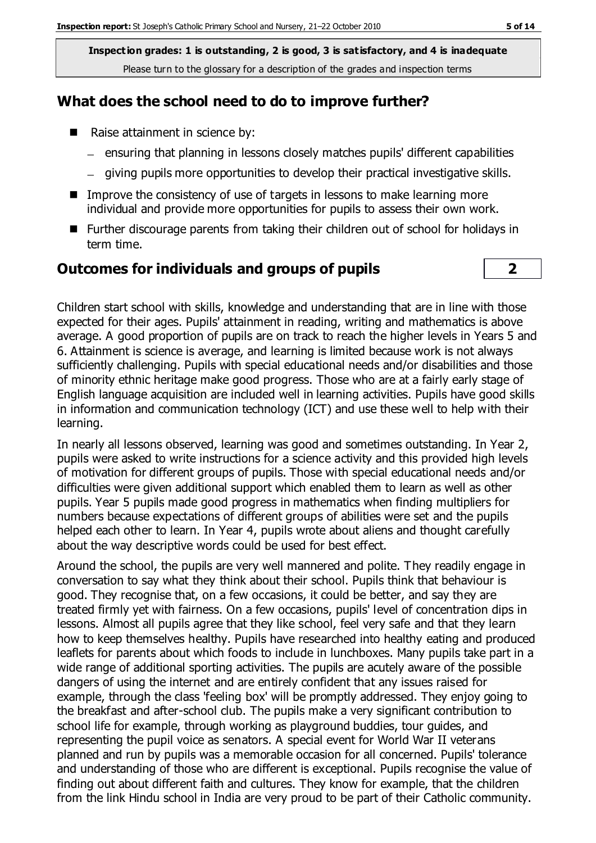**Inspection grades: 1 is outstanding, 2 is good, 3 is satisfactory, and 4 is inadequate** Please turn to the glossary for a description of the grades and inspection terms

#### **What does the school need to do to improve further?**

- Raise attainment in science by:
	- ensuring that planning in lessons closely matches pupils' different capabilities
	- giving pupils more opportunities to develop their practical investigative skills.
- Improve the consistency of use of targets in lessons to make learning more individual and provide more opportunities for pupils to assess their own work.
- Further discourage parents from taking their children out of school for holidays in term time.

#### **Outcomes for individuals and groups of pupils 2**

Children start school with skills, knowledge and understanding that are in line with those expected for their ages. Pupils' attainment in reading, writing and mathematics is above average. A good proportion of pupils are on track to reach the higher levels in Years 5 and 6. Attainment is science is average, and learning is limited because work is not always

sufficiently challenging. Pupils with special educational needs and/or disabilities and those of minority ethnic heritage make good progress. Those who are at a fairly early stage of English language acquisition are included well in learning activities. Pupils have good skills in information and communication technology (ICT) and use these well to help with their learning.

In nearly all lessons observed, learning was good and sometimes outstanding. In Year 2, pupils were asked to write instructions for a science activity and this provided high levels of motivation for different groups of pupils. Those with special educational needs and/or difficulties were given additional support which enabled them to learn as well as other pupils. Year 5 pupils made good progress in mathematics when finding multipliers for numbers because expectations of different groups of abilities were set and the pupils helped each other to learn. In Year 4, pupils wrote about aliens and thought carefully about the way descriptive words could be used for best effect.

Around the school, the pupils are very well mannered and polite. They readily engage in conversation to say what they think about their school. Pupils think that behaviour is good. They recognise that, on a few occasions, it could be better, and say they are treated firmly yet with fairness. On a few occasions, pupils' level of concentration dips in lessons. Almost all pupils agree that they like school, feel very safe and that they learn how to keep themselves healthy. Pupils have researched into healthy eating and produced leaflets for parents about which foods to include in lunchboxes. Many pupils take part in a wide range of additional sporting activities. The pupils are acutely aware of the possible dangers of using the internet and are entirely confident that any issues raised for example, through the class 'feeling box' will be promptly addressed. They enjoy going to the breakfast and after-school club. The pupils make a very significant contribution to school life for example, through working as playground buddies, tour guides, and representing the pupil voice as senators. A special event for World War II veterans planned and run by pupils was a memorable occasion for all concerned. Pupils' tolerance and understanding of those who are different is exceptional. Pupils recognise the value of finding out about different faith and cultures. They know for example, that the children from the link Hindu school in India are very proud to be part of their Catholic community.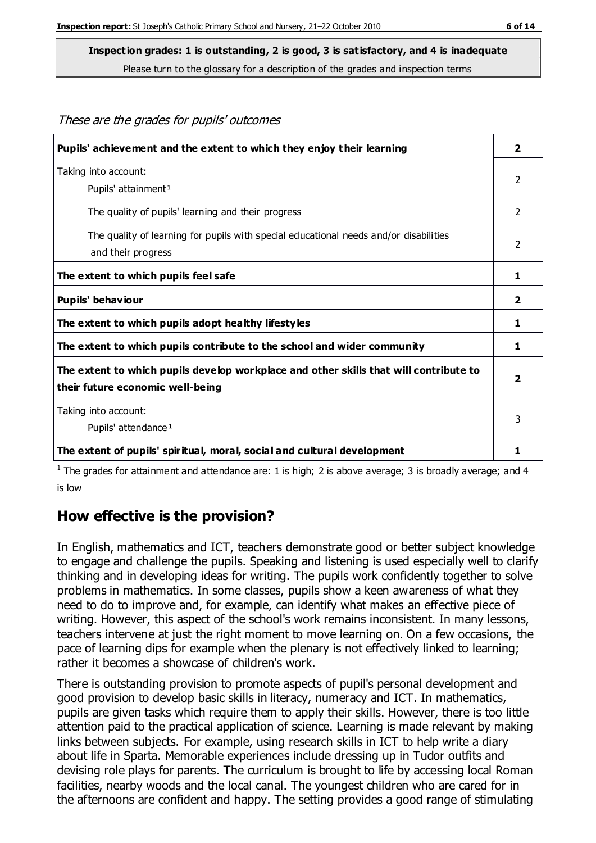These are the grades for pupils' outcomes

**Inspection grades: 1 is outstanding, 2 is good, 3 is satisfactory, and 4 is inadequate**

Please turn to the glossary for a description of the grades and inspection terms

| Pupils' achievement and the extent to which they enjoy their learning                                                     | $\overline{2}$ |
|---------------------------------------------------------------------------------------------------------------------------|----------------|
| Taking into account:<br>Pupils' attainment <sup>1</sup>                                                                   | $\overline{2}$ |
| The quality of pupils' learning and their progress                                                                        | 2              |
| The quality of learning for pupils with special educational needs and/or disabilities<br>and their progress               | $\overline{2}$ |
| The extent to which pupils feel safe                                                                                      | 1              |
| Pupils' behaviour                                                                                                         | $\overline{2}$ |
| The extent to which pupils adopt healthy lifestyles                                                                       | 1              |
| The extent to which pupils contribute to the school and wider community                                                   | 1              |
| The extent to which pupils develop workplace and other skills that will contribute to<br>their future economic well-being | $\overline{2}$ |
| Taking into account:<br>Pupils' attendance <sup>1</sup>                                                                   | 3              |
| The extent of pupils' spiritual, moral, social and cultural development                                                   | 1              |

<sup>1</sup> The grades for attainment and attendance are: 1 is high; 2 is above average; 3 is broadly average; and 4 is low

## **How effective is the provision?**

In English, mathematics and ICT, teachers demonstrate good or better subject knowledge to engage and challenge the pupils. Speaking and listening is used especially well to clarify thinking and in developing ideas for writing. The pupils work confidently together to solve problems in mathematics. In some classes, pupils show a keen awareness of what they need to do to improve and, for example, can identify what makes an effective piece of writing. However, this aspect of the school's work remains inconsistent. In many lessons, teachers intervene at just the right moment to move learning on. On a few occasions, the pace of learning dips for example when the plenary is not effectively linked to learning; rather it becomes a showcase of children's work.

There is outstanding provision to promote aspects of pupil's personal development and good provision to develop basic skills in literacy, numeracy and ICT. In mathematics, pupils are given tasks which require them to apply their skills. However, there is too little attention paid to the practical application of science. Learning is made relevant by making links between subjects. For example, using research skills in ICT to help write a diary about life in Sparta. Memorable experiences include dressing up in Tudor outfits and devising role plays for parents. The curriculum is brought to life by accessing local Roman facilities, nearby woods and the local canal. The youngest children who are cared for in the afternoons are confident and happy. The setting provides a good range of stimulating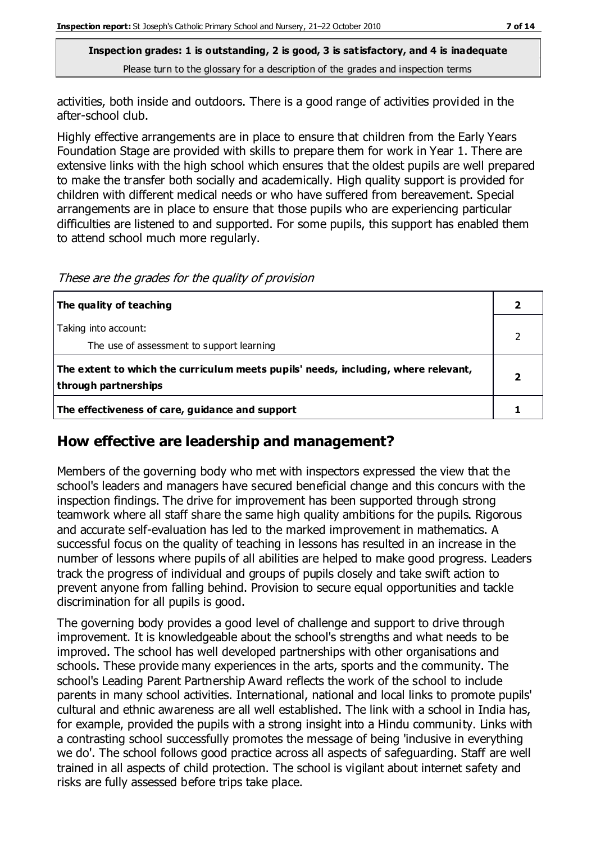**Inspection grades: 1 is outstanding, 2 is good, 3 is satisfactory, and 4 is inadequate** Please turn to the glossary for a description of the grades and inspection terms

activities, both inside and outdoors. There is a good range of activities provided in the after-school club.

Highly effective arrangements are in place to ensure that children from the Early Years Foundation Stage are provided with skills to prepare them for work in Year 1. There are extensive links with the high school which ensures that the oldest pupils are well prepared to make the transfer both socially and academically. High quality support is provided for children with different medical needs or who have suffered from bereavement. Special arrangements are in place to ensure that those pupils who are experiencing particular difficulties are listened to and supported. For some pupils, this support has enabled them to attend school much more regularly.

These are the grades for the quality of provision

| The quality of teaching                                                                                    |  |
|------------------------------------------------------------------------------------------------------------|--|
| Taking into account:<br>The use of assessment to support learning                                          |  |
| The extent to which the curriculum meets pupils' needs, including, where relevant,<br>through partnerships |  |
| The effectiveness of care, guidance and support                                                            |  |

#### **How effective are leadership and management?**

Members of the governing body who met with inspectors expressed the view that the school's leaders and managers have secured beneficial change and this concurs with the inspection findings. The drive for improvement has been supported through strong teamwork where all staff share the same high quality ambitions for the pupils. Rigorous and accurate self-evaluation has led to the marked improvement in mathematics. A successful focus on the quality of teaching in lessons has resulted in an increase in the number of lessons where pupils of all abilities are helped to make good progress. Leaders track the progress of individual and groups of pupils closely and take swift action to prevent anyone from falling behind. Provision to secure equal opportunities and tackle discrimination for all pupils is good.

The governing body provides a good level of challenge and support to drive through improvement. It is knowledgeable about the school's strengths and what needs to be improved. The school has well developed partnerships with other organisations and schools. These provide many experiences in the arts, sports and the community. The school's Leading Parent Partnership Award reflects the work of the school to include parents in many school activities. International, national and local links to promote pupils' cultural and ethnic awareness are all well established. The link with a school in India has, for example, provided the pupils with a strong insight into a Hindu community. Links with a contrasting school successfully promotes the message of being 'inclusive in everything we do'. The school follows good practice across all aspects of safeguarding. Staff are well trained in all aspects of child protection. The school is vigilant about internet safety and risks are fully assessed before trips take place.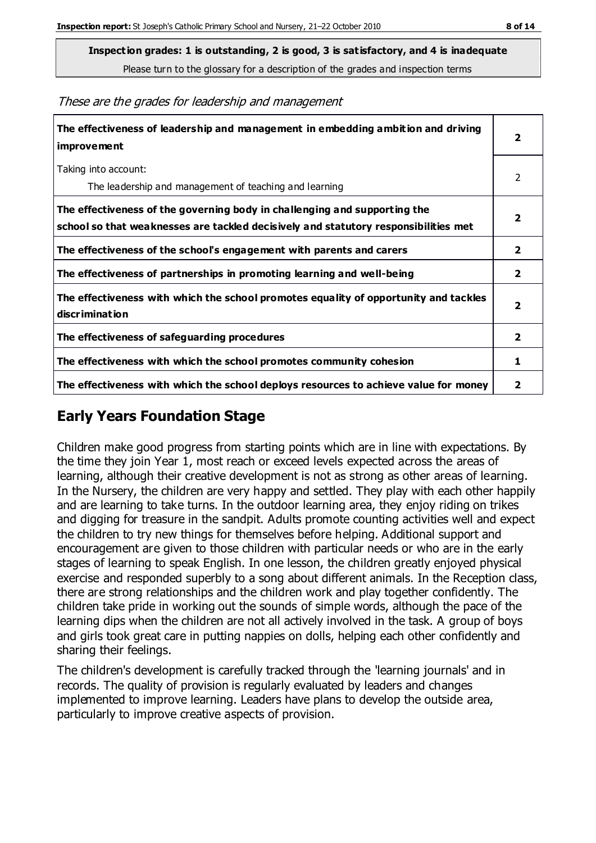Please turn to the glossary for a description of the grades and inspection terms

These are the grades for leadership and management

| The effectiveness of leadership and management in embedding ambition and driving<br>improvement                                                                  |                         |
|------------------------------------------------------------------------------------------------------------------------------------------------------------------|-------------------------|
| Taking into account:<br>The leadership and management of teaching and learning                                                                                   | 2                       |
| The effectiveness of the governing body in challenging and supporting the<br>school so that weaknesses are tackled decisively and statutory responsibilities met | $\overline{\mathbf{2}}$ |
| The effectiveness of the school's engagement with parents and carers                                                                                             | $\mathbf{2}$            |
| The effectiveness of partnerships in promoting learning and well-being                                                                                           | $\mathbf{2}$            |
| The effectiveness with which the school promotes equality of opportunity and tackles<br>discrimination                                                           | $\overline{\mathbf{2}}$ |
| The effectiveness of safeguarding procedures                                                                                                                     | $\overline{2}$          |
| The effectiveness with which the school promotes community cohesion                                                                                              | 1                       |
| The effectiveness with which the school deploys resources to achieve value for money                                                                             | 2                       |

## **Early Years Foundation Stage**

Children make good progress from starting points which are in line with expectations. By the time they join Year 1, most reach or exceed levels expected across the areas of learning, although their creative development is not as strong as other areas of learning. In the Nursery, the children are very happy and settled. They play with each other happily and are learning to take turns. In the outdoor learning area, they enjoy riding on trikes and digging for treasure in the sandpit. Adults promote counting activities well and expect the children to try new things for themselves before helping. Additional support and encouragement are given to those children with particular needs or who are in the early stages of learning to speak English. In one lesson, the children greatly enjoyed physical exercise and responded superbly to a song about different animals. In the Reception class, there are strong relationships and the children work and play together confidently. The children take pride in working out the sounds of simple words, although the pace of the learning dips when the children are not all actively involved in the task. A group of boys and girls took great care in putting nappies on dolls, helping each other confidently and sharing their feelings.

The children's development is carefully tracked through the 'learning journals' and in records. The quality of provision is regularly evaluated by leaders and changes implemented to improve learning. Leaders have plans to develop the outside area, particularly to improve creative aspects of provision.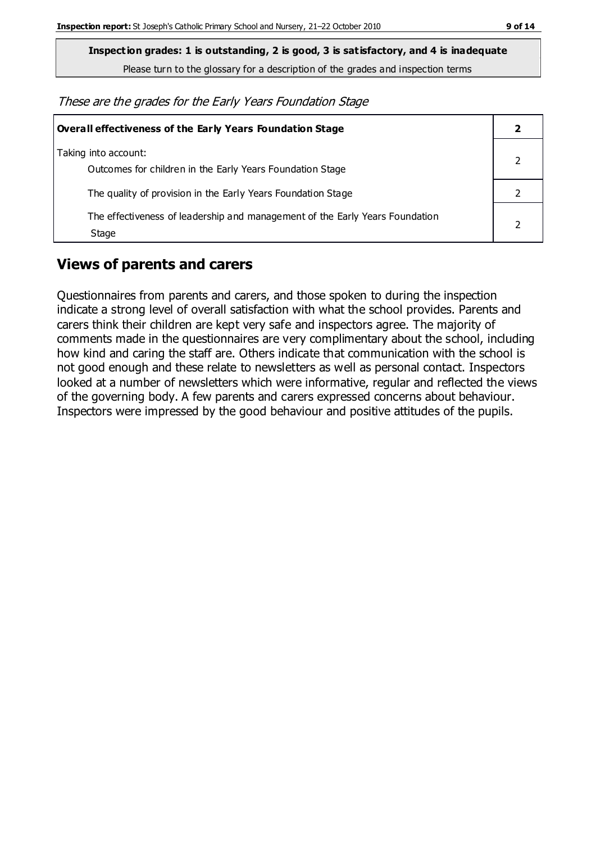**Inspection grades: 1 is outstanding, 2 is good, 3 is satisfactory, and 4 is inadequate**

Please turn to the glossary for a description of the grades and inspection terms

These are the grades for the Early Years Foundation Stage

| <b>Overall effectiveness of the Early Years Foundation Stage</b>                      |  |
|---------------------------------------------------------------------------------------|--|
| Taking into account:<br>Outcomes for children in the Early Years Foundation Stage     |  |
| The quality of provision in the Early Years Foundation Stage                          |  |
| The effectiveness of leadership and management of the Early Years Foundation<br>Stage |  |

## **Views of parents and carers**

Questionnaires from parents and carers, and those spoken to during the inspection indicate a strong level of overall satisfaction with what the school provides. Parents and carers think their children are kept very safe and inspectors agree. The majority of comments made in the questionnaires are very complimentary about the school, including how kind and caring the staff are. Others indicate that communication with the school is not good enough and these relate to newsletters as well as personal contact. Inspectors looked at a number of newsletters which were informative, regular and reflected the views of the governing body. A few parents and carers expressed concerns about behaviour. Inspectors were impressed by the good behaviour and positive attitudes of the pupils.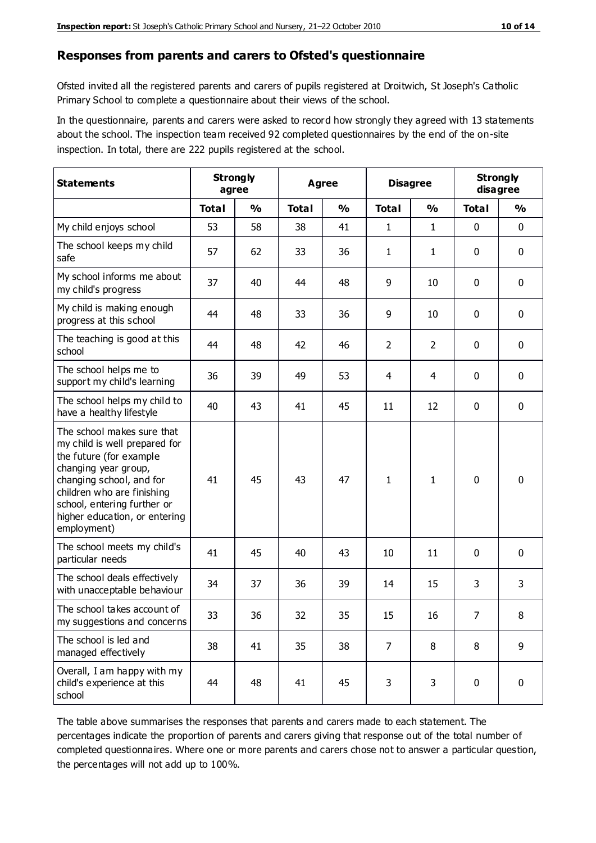#### **Responses from parents and carers to Ofsted's questionnaire**

Ofsted invited all the registered parents and carers of pupils registered at Droitwich, St Joseph's Catholic Primary School to complete a questionnaire about their views of the school.

In the questionnaire, parents and carers were asked to record how strongly they agreed with 13 statements about the school. The inspection team received 92 completed questionnaires by the end of the on-site inspection. In total, there are 222 pupils registered at the school.

| <b>Statements</b>                                                                                                                                                                                                                                       | <b>Strongly</b><br>agree |               | Agree        |               | <b>Disagree</b> |                | <b>Strongly</b><br>disagree |               |
|---------------------------------------------------------------------------------------------------------------------------------------------------------------------------------------------------------------------------------------------------------|--------------------------|---------------|--------------|---------------|-----------------|----------------|-----------------------------|---------------|
|                                                                                                                                                                                                                                                         | <b>Total</b>             | $\frac{0}{0}$ | <b>Total</b> | $\frac{0}{0}$ | <b>Total</b>    | $\frac{0}{0}$  | <b>Total</b>                | $\frac{1}{2}$ |
| My child enjoys school                                                                                                                                                                                                                                  | 53                       | 58            | 38           | 41            | 1               | $\mathbf{1}$   | $\mathbf 0$                 | $\mathbf 0$   |
| The school keeps my child<br>safe                                                                                                                                                                                                                       | 57                       | 62            | 33           | 36            | 1               | $\mathbf{1}$   | 0                           | $\mathbf 0$   |
| My school informs me about<br>my child's progress                                                                                                                                                                                                       | 37                       | 40            | 44           | 48            | 9               | 10             | $\mathbf 0$                 | $\mathbf 0$   |
| My child is making enough<br>progress at this school                                                                                                                                                                                                    | 44                       | 48            | 33           | 36            | 9               | 10             | $\mathbf 0$                 | $\mathbf 0$   |
| The teaching is good at this<br>school                                                                                                                                                                                                                  | 44                       | 48            | 42           | 46            | $\overline{2}$  | $\overline{2}$ | 0                           | $\mathbf 0$   |
| The school helps me to<br>support my child's learning                                                                                                                                                                                                   | 36                       | 39            | 49           | 53            | 4               | 4              | $\mathbf 0$                 | $\mathbf 0$   |
| The school helps my child to<br>have a healthy lifestyle                                                                                                                                                                                                | 40                       | 43            | 41           | 45            | 11              | 12             | $\mathbf 0$                 | $\mathbf 0$   |
| The school makes sure that<br>my child is well prepared for<br>the future (for example<br>changing year group,<br>changing school, and for<br>children who are finishing<br>school, entering further or<br>higher education, or entering<br>employment) | 41                       | 45            | 43           | 47            | 1               | 1              | $\mathbf 0$                 | $\mathbf 0$   |
| The school meets my child's<br>particular needs                                                                                                                                                                                                         | 41                       | 45            | 40           | 43            | 10              | 11             | $\mathbf 0$                 | $\mathbf 0$   |
| The school deals effectively<br>with unacceptable behaviour                                                                                                                                                                                             | 34                       | 37            | 36           | 39            | 14              | 15             | 3                           | 3             |
| The school takes account of<br>my suggestions and concerns                                                                                                                                                                                              | 33                       | 36            | 32           | 35            | 15              | 16             | $\overline{7}$              | 8             |
| The school is led and<br>managed effectively                                                                                                                                                                                                            | 38                       | 41            | 35           | 38            | $\overline{7}$  | 8              | 8                           | 9             |
| Overall, I am happy with my<br>child's experience at this<br>school                                                                                                                                                                                     | 44                       | 48            | 41           | 45            | 3               | 3              | $\mathbf 0$                 | $\mathbf 0$   |

The table above summarises the responses that parents and carers made to each statement. The percentages indicate the proportion of parents and carers giving that response out of the total number of completed questionnaires. Where one or more parents and carers chose not to answer a particular question, the percentages will not add up to 100%.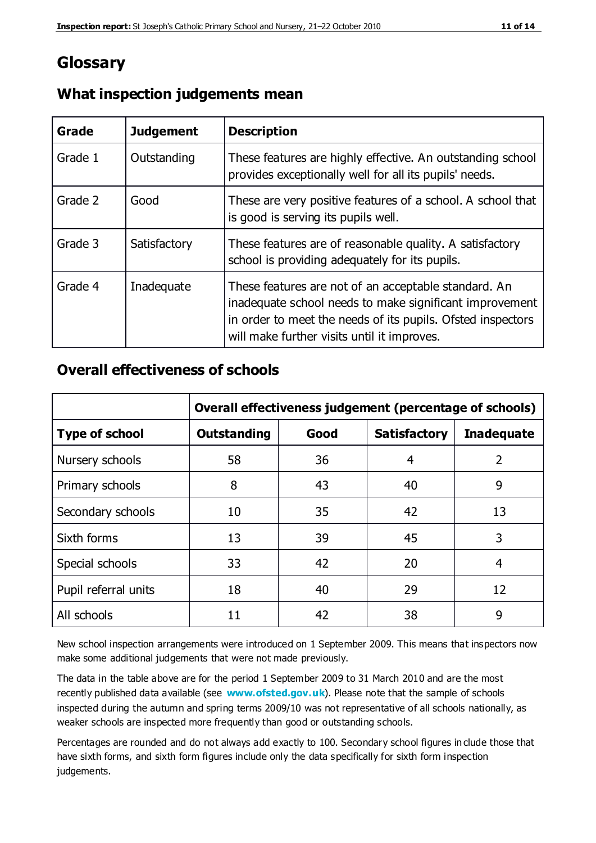## **Glossary**

| Grade   | <b>Judgement</b> | <b>Description</b>                                                                                                                                                                                                            |
|---------|------------------|-------------------------------------------------------------------------------------------------------------------------------------------------------------------------------------------------------------------------------|
| Grade 1 | Outstanding      | These features are highly effective. An outstanding school<br>provides exceptionally well for all its pupils' needs.                                                                                                          |
| Grade 2 | Good             | These are very positive features of a school. A school that<br>is good is serving its pupils well.                                                                                                                            |
| Grade 3 | Satisfactory     | These features are of reasonable quality. A satisfactory<br>school is providing adequately for its pupils.                                                                                                                    |
| Grade 4 | Inadequate       | These features are not of an acceptable standard. An<br>inadequate school needs to make significant improvement<br>in order to meet the needs of its pupils. Ofsted inspectors<br>will make further visits until it improves. |

#### **What inspection judgements mean**

#### **Overall effectiveness of schools**

|                       | Overall effectiveness judgement (percentage of schools) |      |                     |                   |
|-----------------------|---------------------------------------------------------|------|---------------------|-------------------|
| <b>Type of school</b> | <b>Outstanding</b>                                      | Good | <b>Satisfactory</b> | <b>Inadequate</b> |
| Nursery schools       | 58                                                      | 36   | 4                   | 2                 |
| Primary schools       | 8                                                       | 43   | 40                  | 9                 |
| Secondary schools     | 10                                                      | 35   | 42                  | 13                |
| Sixth forms           | 13                                                      | 39   | 45                  | 3                 |
| Special schools       | 33                                                      | 42   | 20                  | 4                 |
| Pupil referral units  | 18                                                      | 40   | 29                  | 12                |
| All schools           | 11                                                      | 42   | 38                  | 9                 |

New school inspection arrangements were introduced on 1 September 2009. This means that inspectors now make some additional judgements that were not made previously.

The data in the table above are for the period 1 September 2009 to 31 March 2010 and are the most recently published data available (see **[www.ofsted.gov.uk](http://www.ofsted.gov.uk/)**). Please note that the sample of schools inspected during the autumn and spring terms 2009/10 was not representative of all schools nationally, as weaker schools are inspected more frequently than good or outstanding schools.

Percentages are rounded and do not always add exactly to 100. Secondary school figures in clude those that have sixth forms, and sixth form figures include only the data specifically for sixth form inspection judgements.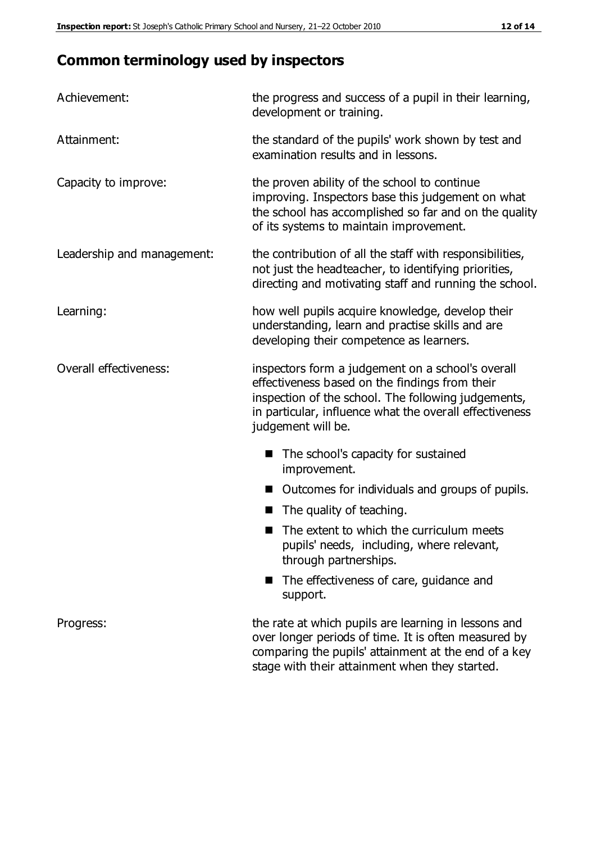# **Common terminology used by inspectors**

| Achievement:               | the progress and success of a pupil in their learning,<br>development or training.                                                                                                                                                          |  |  |
|----------------------------|---------------------------------------------------------------------------------------------------------------------------------------------------------------------------------------------------------------------------------------------|--|--|
| Attainment:                | the standard of the pupils' work shown by test and<br>examination results and in lessons.                                                                                                                                                   |  |  |
| Capacity to improve:       | the proven ability of the school to continue<br>improving. Inspectors base this judgement on what<br>the school has accomplished so far and on the quality<br>of its systems to maintain improvement.                                       |  |  |
| Leadership and management: | the contribution of all the staff with responsibilities,<br>not just the headteacher, to identifying priorities,<br>directing and motivating staff and running the school.                                                                  |  |  |
| Learning:                  | how well pupils acquire knowledge, develop their<br>understanding, learn and practise skills and are<br>developing their competence as learners.                                                                                            |  |  |
| Overall effectiveness:     | inspectors form a judgement on a school's overall<br>effectiveness based on the findings from their<br>inspection of the school. The following judgements,<br>in particular, influence what the overall effectiveness<br>judgement will be. |  |  |
|                            | The school's capacity for sustained<br>improvement.                                                                                                                                                                                         |  |  |
|                            | Outcomes for individuals and groups of pupils.                                                                                                                                                                                              |  |  |
|                            | The quality of teaching.                                                                                                                                                                                                                    |  |  |
|                            | The extent to which the curriculum meets<br>pupils' needs, including, where relevant,<br>through partnerships.                                                                                                                              |  |  |
|                            | The effectiveness of care, guidance and<br>support.                                                                                                                                                                                         |  |  |
| Progress:                  | the rate at which pupils are learning in lessons and<br>over longer periods of time. It is often measured by<br>comparing the pupils' attainment at the end of a key                                                                        |  |  |

stage with their attainment when they started.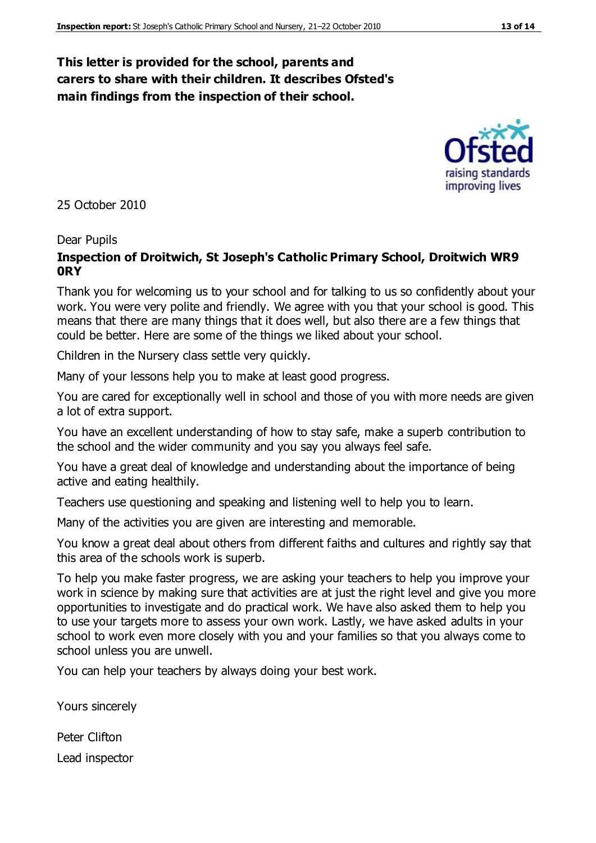#### **This letter is provided for the school, parents and carers to share with their children. It describes Ofsted's main findings from the inspection of their school.**

25 October 2010

#### Dear Pupils

#### **Inspection of Droitwich, St Joseph's Catholic Primary School, Droitwich WR9 0RY**

Thank you for welcoming us to your school and for talking to us so confidently about your work. You were very polite and friendly. We agree with you that your school is good. This means that there are many things that it does well, but also there are a few things that could be better. Here are some of the things we liked about your school.

Children in the Nursery class settle very quickly.

Many of your lessons help you to make at least good progress.

You are cared for exceptionally well in school and those of you with more needs are given a lot of extra support.

You have an excellent understanding of how to stay safe, make a superb contribution to the school and the wider community and you say you always feel safe.

You have a great deal of knowledge and understanding about the importance of being active and eating healthily.

Teachers use questioning and speaking and listening well to help you to learn.

Many of the activities you are given are interesting and memorable.

You know a great deal about others from different faiths and cultures and rightly say that this area of the schools work is superb.

To help you make faster progress, we are asking your teachers to help you improve your work in science by making sure that activities are at just the right level and give you more opportunities to investigate and do practical work. We have also asked them to help you to use your targets more to assess your own work. Lastly, we have asked adults in your school to work even more closely with you and your families so that you always come to school unless you are unwell.

You can help your teachers by always doing your best work.

Yours sincerely

Peter Clifton Lead inspector



improving lives